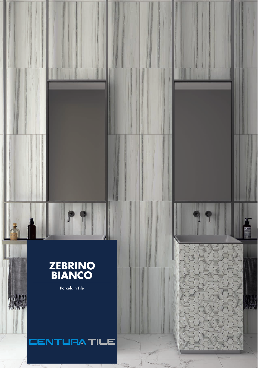# **ZEBRINO<br>BIANCO**

P

**Porcelain Tile** 

A WA

## **CENTURA TILE**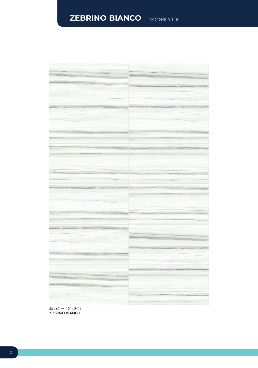## **ZEBRINO BIANCO** / Porcelain Tile



 $30 \times 60$  cm (12"  $\times$  24") ZEBRINO BIANCO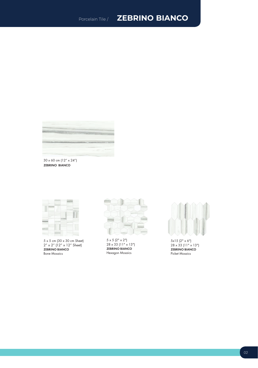### Porcelain Tile / **ZEBRINO BIANCO**



ZEBRINO BIANCO 30 x 60 cm (12" x 24")



5 x 5 cm (30 x 30 cm Sheet) 2" x 2" (12" x 12" Sheet) ZEBRINO BIANCO Bone Mosaics



5 x 5 (2" x 2") 28 x 33 (11" x 13") ZEBRINO BIANCO Hexagon Mosaics



5x15 (2" x 6") 28 x 33 (11" x 13") ZEBRINO BIANCO Picket Mosaics